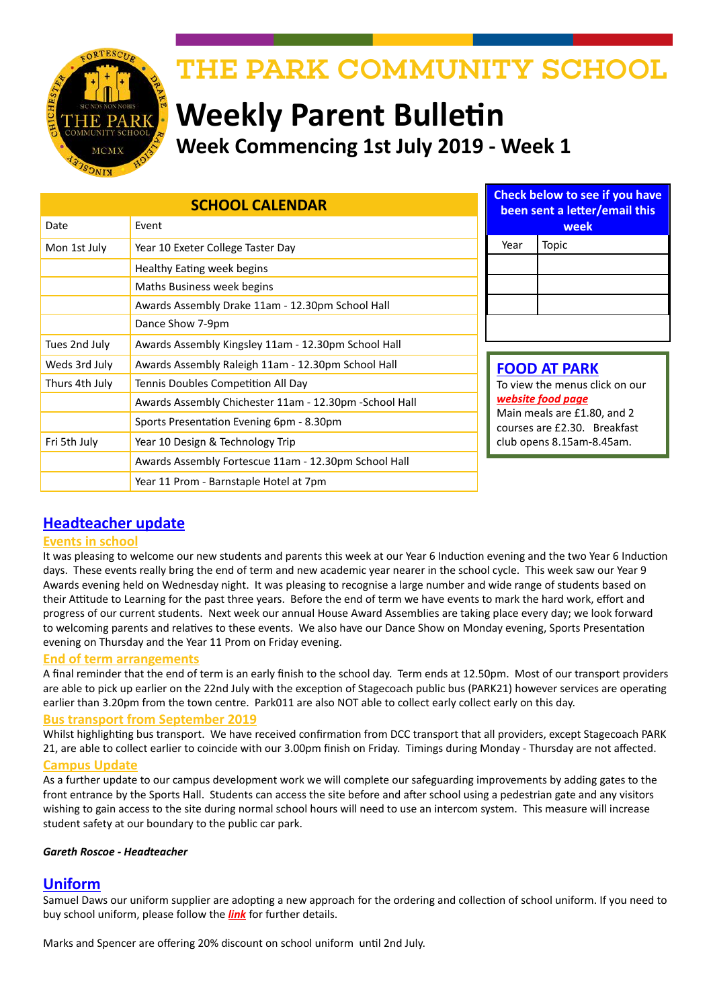

# THE PARK COMMUNITY SCHOOL

# **Weekly Parent Bulletin Week Commencing 1st July 2019 - Week 1**

| <b>SCHOOL CALENDAR</b> |                                                         |      | <b>Check below to see if you have</b><br>been sent a letter/email this                                                                                                 |  |
|------------------------|---------------------------------------------------------|------|------------------------------------------------------------------------------------------------------------------------------------------------------------------------|--|
| Date                   | Event                                                   |      | week                                                                                                                                                                   |  |
| Mon 1st July           | Year 10 Exeter College Taster Day                       | Year | Topic                                                                                                                                                                  |  |
|                        | Healthy Eating week begins                              |      |                                                                                                                                                                        |  |
|                        | Maths Business week begins                              |      |                                                                                                                                                                        |  |
|                        | Awards Assembly Drake 11am - 12.30pm School Hall        |      |                                                                                                                                                                        |  |
|                        | Dance Show 7-9pm                                        |      |                                                                                                                                                                        |  |
| Tues 2nd July          | Awards Assembly Kingsley 11am - 12.30pm School Hall     |      |                                                                                                                                                                        |  |
| Weds 3rd July          | Awards Assembly Raleigh 11am - 12.30pm School Hall      |      | <b>FOOD AT PARK</b><br>To view the menus click on our<br>website food page<br>Main meals are £1.80, and 2<br>courses are £2.30. Breakfast<br>club opens 8.15am-8.45am. |  |
| Thurs 4th July         | Tennis Doubles Competition All Day                      |      |                                                                                                                                                                        |  |
|                        | Awards Assembly Chichester 11am - 12.30pm - School Hall |      |                                                                                                                                                                        |  |
|                        | Sports Presentation Evening 6pm - 8.30pm                |      |                                                                                                                                                                        |  |
| Fri 5th July           | Year 10 Design & Technology Trip                        |      |                                                                                                                                                                        |  |
|                        | Awards Assembly Fortescue 11am - 12.30pm School Hall    |      |                                                                                                                                                                        |  |
|                        | Year 11 Prom - Barnstaple Hotel at 7pm                  |      |                                                                                                                                                                        |  |

## **Headteacher update**

#### **Events in school**

It was pleasing to welcome our new students and parents this week at our Year 6 Induction evening and the two Year 6 Induction days. These events really bring the end of term and new academic year nearer in the school cycle. This week saw our Year 9 Awards evening held on Wednesday night. It was pleasing to recognise a large number and wide range of students based on their Attitude to Learning for the past three years. Before the end of term we have events to mark the hard work, effort and progress of our current students. Next week our annual House Award Assemblies are taking place every day; we look forward to welcoming parents and relatives to these events. We also have our Dance Show on Monday evening, Sports Presentation evening on Thursday and the Year 11 Prom on Friday evening.

#### **End of term arrangements**

A final reminder that the end of term is an early finish to the school day. Term ends at 12.50pm. Most of our transport providers are able to pick up earlier on the 22nd July with the exception of Stagecoach public bus (PARK21) however services are operating earlier than 3.20pm from the town centre. Park011 are also NOT able to collect early collect early on this day.

#### **Bus transport from September 2019**

Whilst highlighting bus transport. We have received confirmation from DCC transport that all providers, except Stagecoach PARK 21, are able to collect earlier to coincide with our 3.00pm finish on Friday. Timings during Monday - Thursday are not affected.

#### **Campus Update**

As a further update to our campus development work we will complete our safeguarding improvements by adding gates to the front entrance by the Sports Hall. Students can access the site before and after school using a pedestrian gate and any visitors wishing to gain access to the site during normal school hours will need to use an intercom system. This measure will increase student safety at our boundary to the public car park.

#### *Gareth Roscoe - Headteacher*

### **Uniform**

Samuel Daws our uniform supplier are adopting a new approach for the ordering and collection of school uniform. If you need to buy school uniform, please follow the *[link](https://www.samdaw.co.uk/blogs/news/summer-holidays-at-daws-whats-new)* for further details.

Marks and Spencer are offering 20% discount on school uniform until 2nd July.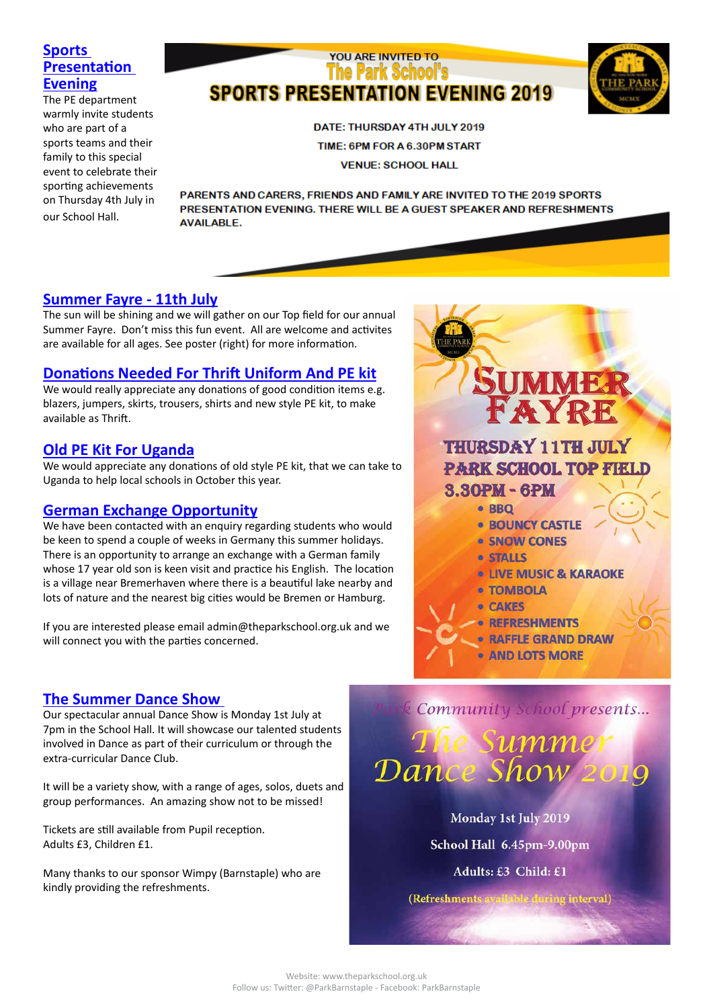## **Sports Presentation Evening**

The PE department warmly invite students who are part of a sports teams and their family to this special event to celebrate their sporting achievements on Thursday 4th July in our School Hall.

## YOU ARE INVITED TO **The Park School's SPORTS PRESENTATION EVENING 2019**



DATE: THURSDAY 4TH JULY 2019 TIME: 6PM FOR A 6.30PM START **VENUE: SCHOOL HALL** 

PARENTS AND CARERS, FRIENDS AND FAMILY ARE INVITED TO THE 2019 SPORTS PRESENTATION EVENING. THERE WILL BE A GUEST SPEAKER AND REFRESHMENTS **AVAILABLE.** 

## **Summer Fayre - 11th July**

The sun will be shining and we will gather on our Top field for our annual Summer Fayre. Don't miss this fun event. All are welcome and activites are available for all ages. See poster (right) for more information.

## **Donations Needed For Thrift Uniform And PE kit**

We would really appreciate any donations of good condition items e.g. blazers, jumpers, skirts, trousers, shirts and new style PE kit, to make available as Thrift.

## **Old PE Kit For Uganda**

We would appreciate any donations of old style PE kit, that we can take to Uganda to help local schools in October this year.

### **German Exchange Opportunity**

We have been contacted with an enquiry regarding students who would be keen to spend a couple of weeks in Germany this summer holidays. There is an opportunity to arrange an exchange with a German family whose 17 year old son is keen visit and practice his English. The location is a village near Bremerhaven where there is a beautiful lake nearby and lots of nature and the nearest big cities would be Bremen or Hamburg.

If you are interested please email admin@theparkschool.org.uk and we will connect you with the parties concerned.

### **The Summer Dance Show**

Our spectacular annual Dance Show is Monday 1st July at 7pm in the School Hall. It will showcase our talented students involved in Dance as part of their curriculum or through the extra-curricular Dance Club.

It will be a variety show, with a range of ages, solos, duets and group performances. An amazing show not to be missed!

Tickets are still available from Pupil reception. Adults £3, Children £1.

Many thanks to our sponsor Wimpy (Barnstaple) who are kindly providing the refreshments.





Monday 1st July 2019 School Hall 6.45pm-9.00pm

Adults: £3 Child: £1

(Refreshments available di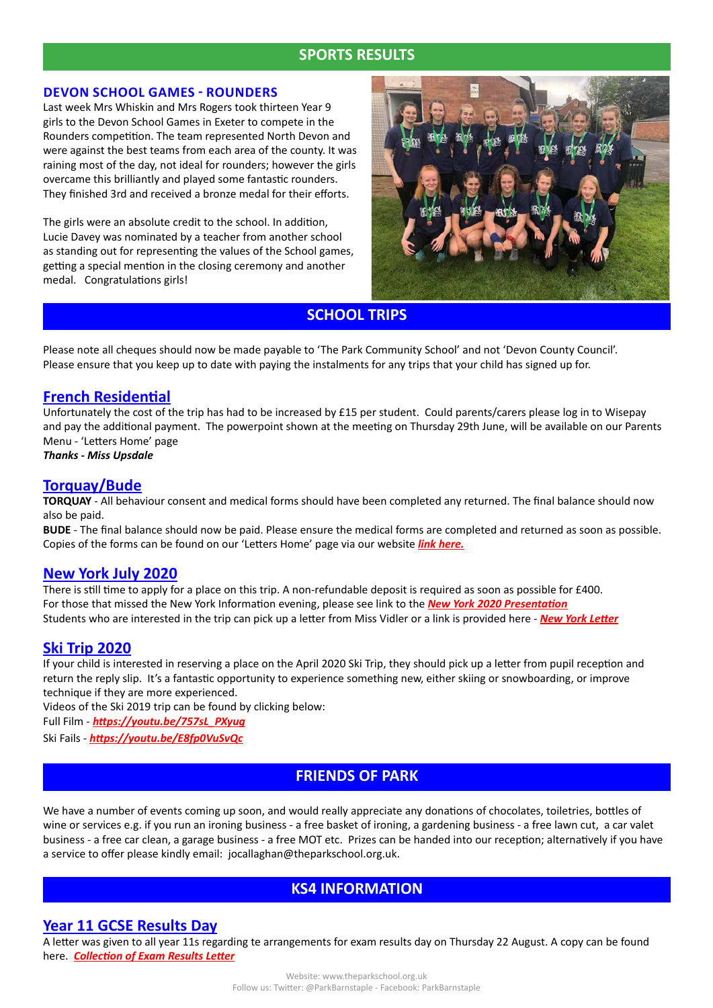## **SPORTS RESULTS**

#### **DEVON SCHOOL GAMES - ROUNDERS**

Last week Mrs Whiskin and Mrs Rogers took thirteen Year 9 girls to the Devon School Games in Exeter to compete in the Rounders competition. The team represented North Devon and were against the best teams from each area of the county. It was raining most of the day, not ideal for rounders; however the girls overcame this brilliantly and played some fantastic rounders. They finished 3rd and received a bronze medal for their efforts.

The girls were an absolute credit to the school. In addition, Lucie Davey was nominated by a teacher from another school as standing out for representing the values of the School games, getting a special mention in the closing ceremony and another medal. Congratulations girls!



**SCHOOL TRIPS**

Please note all cheques should now be made payable to 'The Park Community School' and not 'Devon County Council'. Please ensure that you keep up to date with paying the instalments for any trips that your child has signed up for.

#### **French Residential**

Unfortunately the cost of the trip has had to be increased by £15 per student. Could parents/carers please log in to Wisepay and pay the additional payment. The powerpoint shown at the meeting on Thursday 29th June, will be available on our Parents Menu - 'Letters Home' page

*Thanks - Miss Upsdale*

#### **Torquay/Bude**

**TORQUAY** - All behaviour consent and medical forms should have been completed any returned. The final balance should now also be paid.

**BUDE** - The final balance should now be paid. Please ensure the medical forms are completed and returned as soon as possible. Copies of the forms can be found on our 'Letters Home' page via our website *[link here](http://www.theparkschool.org.uk/letters-home-0).*

#### **New York July 2020**

There is still time to apply for a place on this trip. A non-refundable deposit is required as soon as possible for £400. For those that missed the New York Information evening, please see link to the *[New York 2020 Presentation](http://www.theparkschool.org.uk/sites/default/files/NewYorkMeetingPowerPoint-July2020.pdf)* Students who are interested in the trip can pick up a letter from Miss Vidler or a link is provided here - *[New York Letter](http://www.theparkschool.org.uk/sites/default/files/Payment%20Plan%20and%20Itinerary%20letter%202020.pdf)*

#### **Ski Trip 2020**

If your child is interested in reserving a place on the April 2020 Ski Trip, they should pick up a letter from pupil reception and return the reply slip. It's a fantastic opportunity to experience something new, either skiing or snowboarding, or improve technique if they are more experienced.

Videos of the Ski 2019 trip can be found by clicking below:

Full Film - *[https://youtu.be/757sL\\_PXyug](https://youtu.be/757sL_PXyug)*

Ski Fails - *<https://youtu.be/E8fp0VuSvQc>*

### **FRIENDS OF PARK**

We have a number of events coming up soon, and would really appreciate any donations of chocolates, toiletries, bottles of wine or services e.g. if you run an ironing business - a free basket of ironing, a gardening business - a free lawn cut, a car valet business - a free car clean, a garage business - a free MOT etc. Prizes can be handed into our reception; alternatively if you have a service to offer please kindly email: jocallaghan@theparkschool.org.uk.

### **KS4 INFORMATION**

#### **Year 11 GCSE Results Day**

A letter was given to all year 11s regarding te arrangements for exam results day on Thursday 22 August. A copy can be found here. *[Collection of Exam Results Letter](http://www.theparkschool.org.uk/sites/default/files/Results%20Collection%20letter%202019.pdf)*